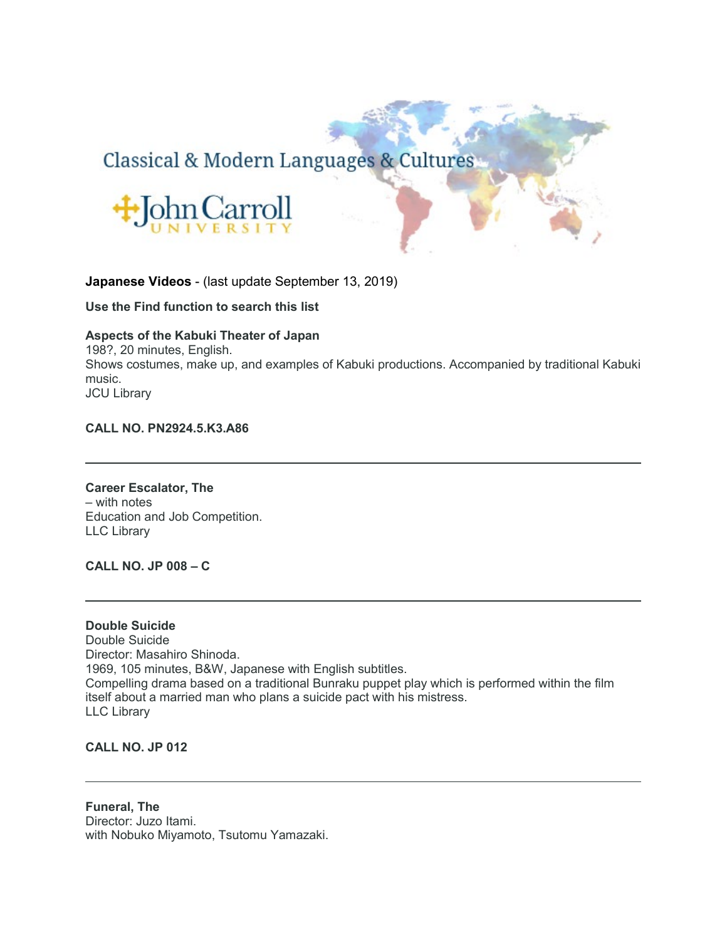# Classical & Modern Languages & Cultures



# **Japanese Videos** - (last update September 13, 2019)

**Use the Find function to search this list**

# **Aspects of the Kabuki Theater of Japan**

198?, 20 minutes, English. Shows costumes, make up, and examples of Kabuki productions. Accompanied by traditional Kabuki music. JCU Library

# **CALL NO. PN2924.5.K3.A86**

**Career Escalator, The** – with notes Education and Job Competition. LLC Library

**CALL NO. JP 008 – C**

**Double Suicide** Double Suicide Director: Masahiro Shinoda. 1969, 105 minutes, B&W, Japanese with English subtitles. Compelling drama based on a traditional Bunraku puppet play which is performed within the film itself about a married man who plans a suicide pact with his mistress. LLC Library

**CALL NO. JP 012**

**Funeral, The** Director: Juzo Itami. with Nobuko Miyamoto, Tsutomu Yamazaki.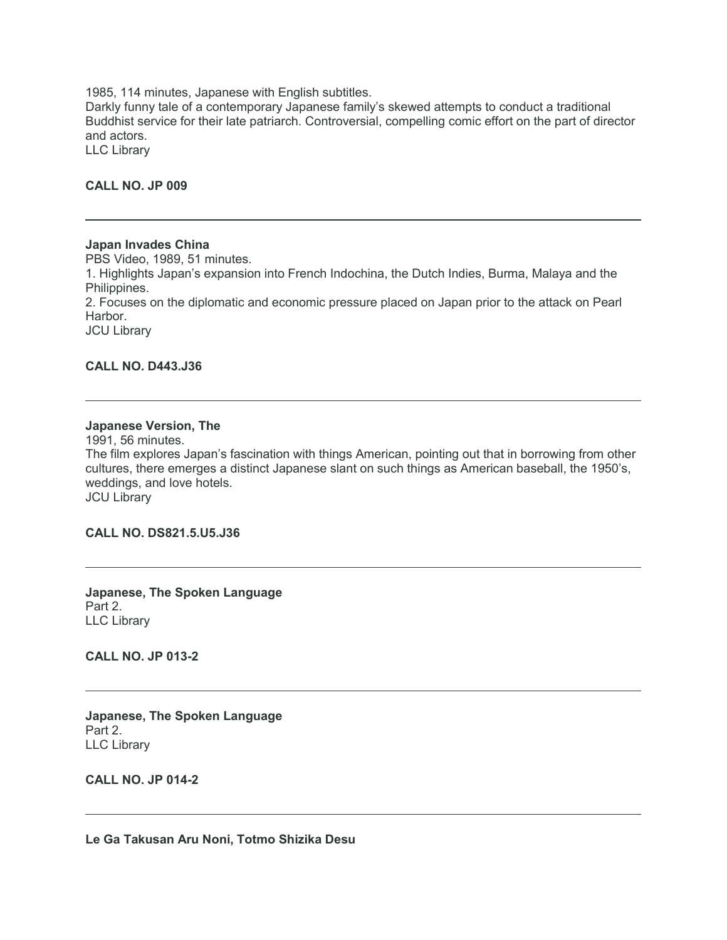1985, 114 minutes, Japanese with English subtitles.

Darkly funny tale of a contemporary Japanese family's skewed attempts to conduct a traditional Buddhist service for their late patriarch. Controversial, compelling comic effort on the part of director and actors.

LLC Library

#### **CALL NO. JP 009**

#### **Japan Invades China**

PBS Video, 1989, 51 minutes. 1. Highlights Japan's expansion into French Indochina, the Dutch Indies, Burma, Malaya and the Philippines. 2. Focuses on the diplomatic and economic pressure placed on Japan prior to the attack on Pearl Harbor. JCU Library

# **CALL NO. D443.J36**

#### **Japanese Version, The**

1991, 56 minutes. The film explores Japan's fascination with things American, pointing out that in borrowing from other cultures, there emerges a distinct Japanese slant on such things as American baseball, the 1950's, weddings, and love hotels. JCU Library

**CALL NO. DS821.5.U5.J36**

**Japanese, The Spoken Language** Part 2. LLC Library

**CALL NO. JP 013-2**

**Japanese, The Spoken Language** Part 2. LLC Library

**CALL NO. JP 014-2**

**Le Ga Takusan Aru Noni, Totmo Shizika Desu**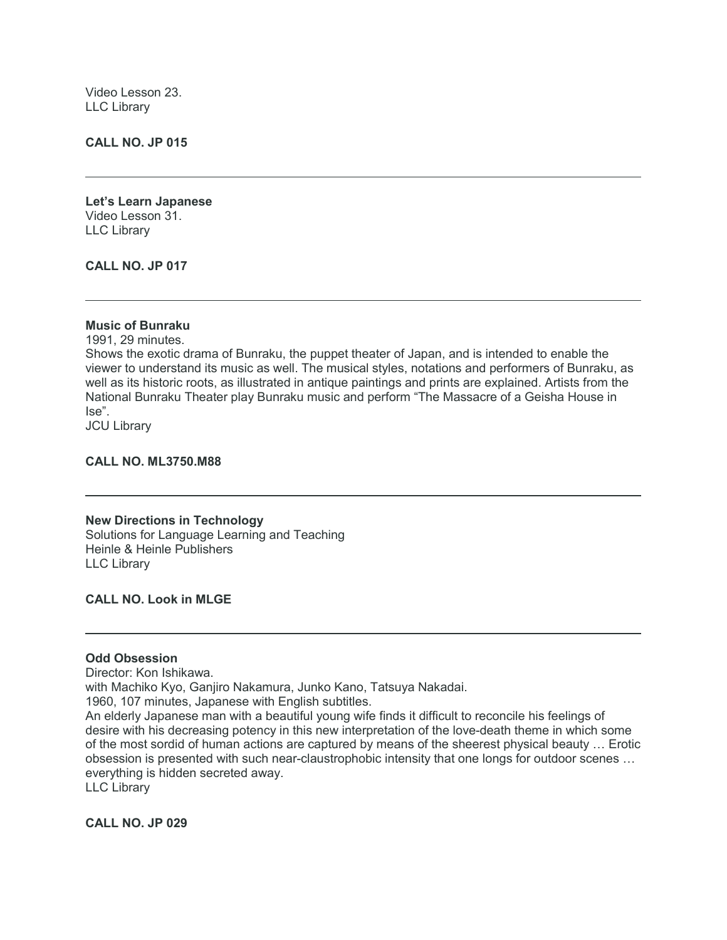Video Lesson 23. LLC Library

**CALL NO. JP 015**

**Let's Learn Japanese** Video Lesson 31. LLC Library

**CALL NO. JP 017**

#### **Music of Bunraku**

1991, 29 minutes. Shows the exotic drama of Bunraku, the puppet theater of Japan, and is intended to enable the viewer to understand its music as well. The musical styles, notations and performers of Bunraku, as well as its historic roots, as illustrated in antique paintings and prints are explained. Artists from the National Bunraku Theater play Bunraku music and perform "The Massacre of a Geisha House in Ise". JCU Library

**CALL NO. ML3750.M88**

**New Directions in Technology** Solutions for Language Learning and Teaching Heinle & Heinle Publishers LLC Library

**CALL NO. Look in MLGE**

# **Odd Obsession**

Director: Kon Ishikawa.

with Machiko Kyo, Ganjiro Nakamura, Junko Kano, Tatsuya Nakadai.

1960, 107 minutes, Japanese with English subtitles.

An elderly Japanese man with a beautiful young wife finds it difficult to reconcile his feelings of desire with his decreasing potency in this new interpretation of the love-death theme in which some of the most sordid of human actions are captured by means of the sheerest physical beauty … Erotic obsession is presented with such near-claustrophobic intensity that one longs for outdoor scenes … everything is hidden secreted away.

LLC Library

**CALL NO. JP 029**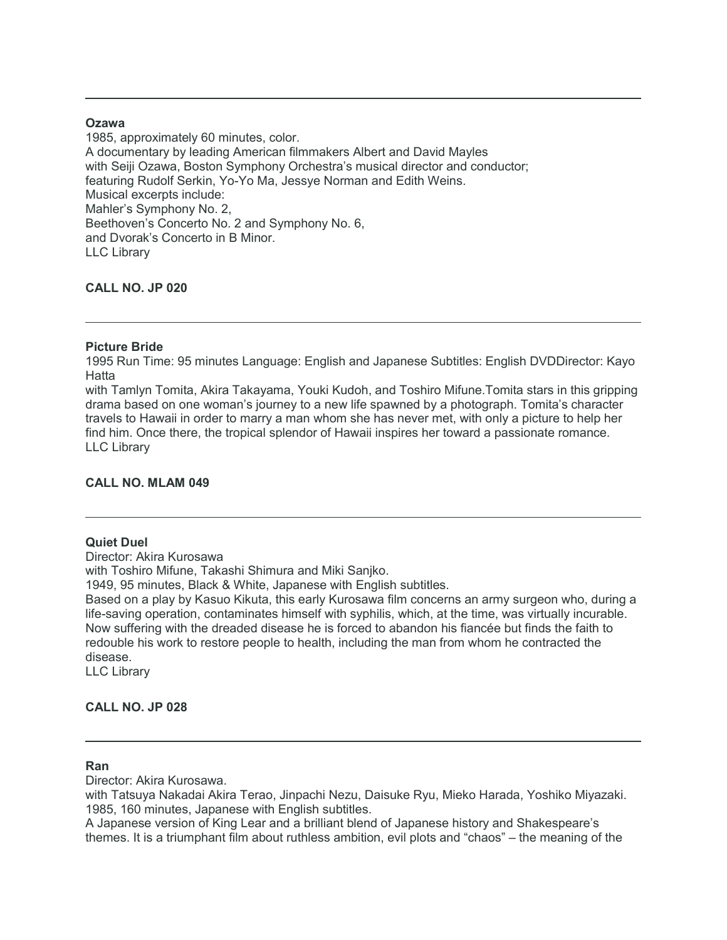# **Ozawa**

1985, approximately 60 minutes, color.

A documentary by leading American filmmakers Albert and David Mayles with Seiji Ozawa, Boston Symphony Orchestra's musical director and conductor; featuring Rudolf Serkin, Yo-Yo Ma, Jessye Norman and Edith Weins. Musical excerpts include: Mahler's Symphony No. 2, Beethoven's Concerto No. 2 and Symphony No. 6, and Dvorak's Concerto in B Minor. LLC Library

# **CALL NO. JP 020**

# **Picture Bride**

1995 Run Time: 95 minutes Language: English and Japanese Subtitles: English DVDDirector: Kayo Hatta

with Tamlyn Tomita, Akira Takayama, Youki Kudoh, and Toshiro Mifune.Tomita stars in this gripping drama based on one woman's journey to a new life spawned by a photograph. Tomita's character travels to Hawaii in order to marry a man whom she has never met, with only a picture to help her find him. Once there, the tropical splendor of Hawaii inspires her toward a passionate romance. LLC Library

# **CALL NO. MLAM 049**

# **Quiet Duel**

Director: Akira Kurosawa

with Toshiro Mifune, Takashi Shimura and Miki Saniko.

1949, 95 minutes, Black & White, Japanese with English subtitles.

Based on a play by Kasuo Kikuta, this early Kurosawa film concerns an army surgeon who, during a life-saving operation, contaminates himself with syphilis, which, at the time, was virtually incurable. Now suffering with the dreaded disease he is forced to abandon his fiancée but finds the faith to redouble his work to restore people to health, including the man from whom he contracted the disease.

LLC Library

# **CALL NO. JP 028**

#### **Ran**

Director: Akira Kurosawa.

with Tatsuya Nakadai Akira Terao, Jinpachi Nezu, Daisuke Ryu, Mieko Harada, Yoshiko Miyazaki. 1985, 160 minutes, Japanese with English subtitles.

A Japanese version of King Lear and a brilliant blend of Japanese history and Shakespeare's themes. It is a triumphant film about ruthless ambition, evil plots and "chaos" – the meaning of the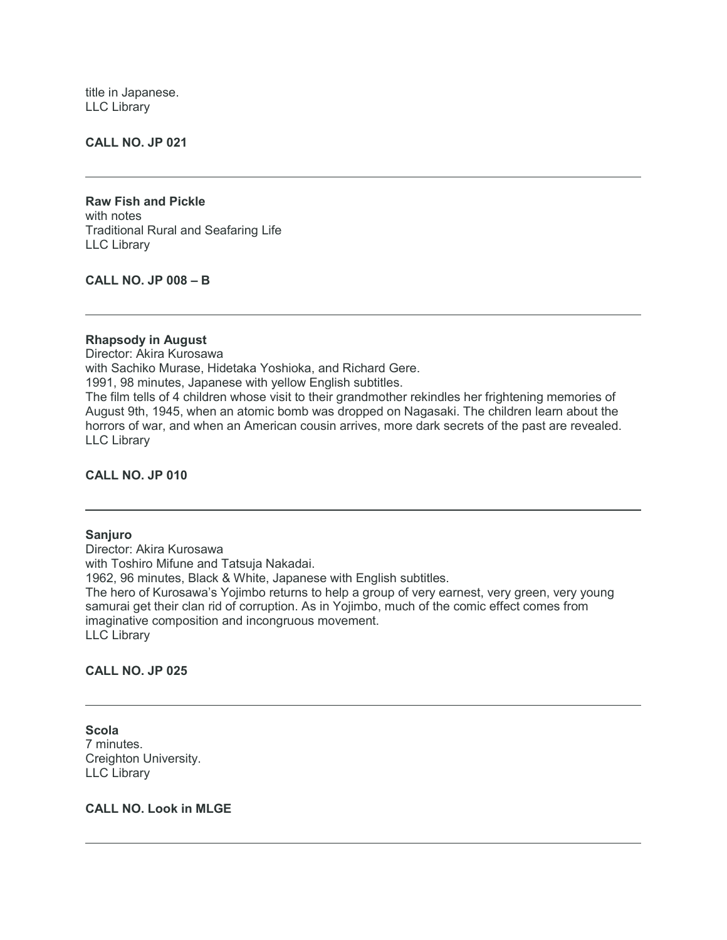title in Japanese. LLC Library

#### **CALL NO. JP 021**

**Raw Fish and Pickle** with notes Traditional Rural and Seafaring Life LLC Library

**CALL NO. JP 008 – B**

# **Rhapsody in August**

Director: Akira Kurosawa with Sachiko Murase, Hidetaka Yoshioka, and Richard Gere. 1991, 98 minutes, Japanese with yellow English subtitles. The film tells of 4 children whose visit to their grandmother rekindles her frightening memories of August 9th, 1945, when an atomic bomb was dropped on Nagasaki. The children learn about the horrors of war, and when an American cousin arrives, more dark secrets of the past are revealed. LLC Library

#### **CALL NO. JP 010**

# **Sanjuro**

Director: Akira Kurosawa with Toshiro Mifune and Tatsuja Nakadai. 1962, 96 minutes, Black & White, Japanese with English subtitles. The hero of Kurosawa's Yojimbo returns to help a group of very earnest, very green, very young samurai get their clan rid of corruption. As in Yojimbo, much of the comic effect comes from imaginative composition and incongruous movement. LLC Library

#### **CALL NO. JP 025**

**Scola** 7 minutes. Creighton University. LLC Library

#### **CALL NO. Look in MLGE**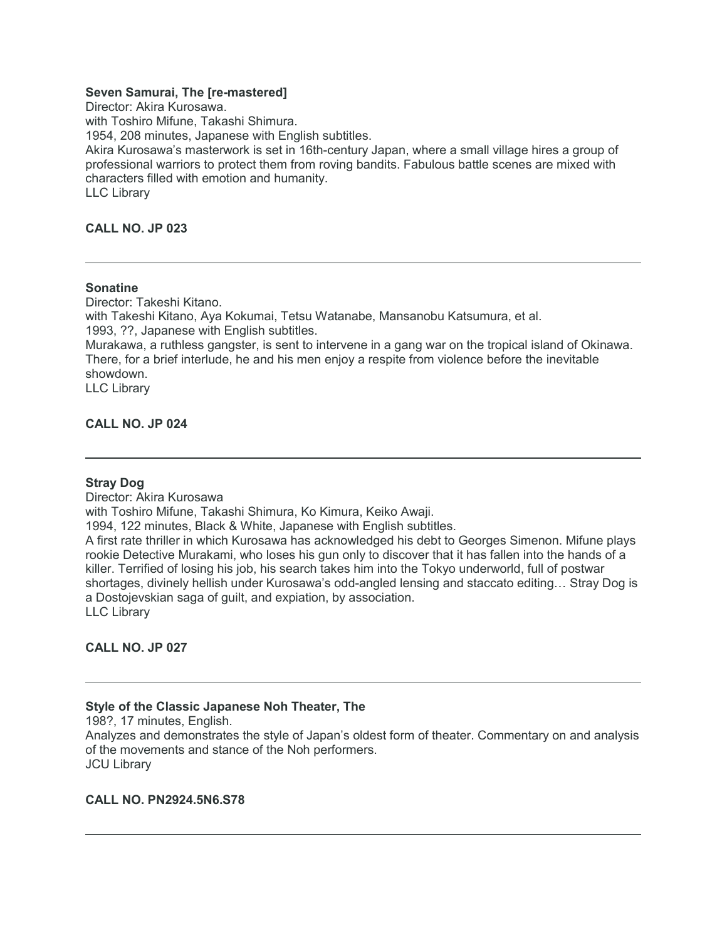# **Seven Samurai, The [re-mastered]**

Director: Akira Kurosawa. with Toshiro Mifune, Takashi Shimura. 1954, 208 minutes, Japanese with English subtitles. Akira Kurosawa's masterwork is set in 16th-century Japan, where a small village hires a group of professional warriors to protect them from roving bandits. Fabulous battle scenes are mixed with characters filled with emotion and humanity. LLC Library

# **CALL NO. JP 023**

#### **Sonatine**

Director: Takeshi Kitano. with Takeshi Kitano, Aya Kokumai, Tetsu Watanabe, Mansanobu Katsumura, et al. 1993, ??, Japanese with English subtitles. Murakawa, a ruthless gangster, is sent to intervene in a gang war on the tropical island of Okinawa. There, for a brief interlude, he and his men enjoy a respite from violence before the inevitable showdown. LLC Library

**CALL NO. JP 024**

#### **Stray Dog**

Director: Akira Kurosawa with Toshiro Mifune, Takashi Shimura, Ko Kimura, Keiko Awaji. 1994, 122 minutes, Black & White, Japanese with English subtitles. A first rate thriller in which Kurosawa has acknowledged his debt to Georges Simenon. Mifune plays rookie Detective Murakami, who loses his gun only to discover that it has fallen into the hands of a killer. Terrified of losing his job, his search takes him into the Tokyo underworld, full of postwar shortages, divinely hellish under Kurosawa's odd-angled lensing and staccato editing… Stray Dog is a Dostojevskian saga of guilt, and expiation, by association. LLC Library

# **CALL NO. JP 027**

#### **Style of the Classic Japanese Noh Theater, The**

198?, 17 minutes, English. Analyzes and demonstrates the style of Japan's oldest form of theater. Commentary on and analysis of the movements and stance of the Noh performers. JCU Library

# **CALL NO. PN2924.5N6.S78**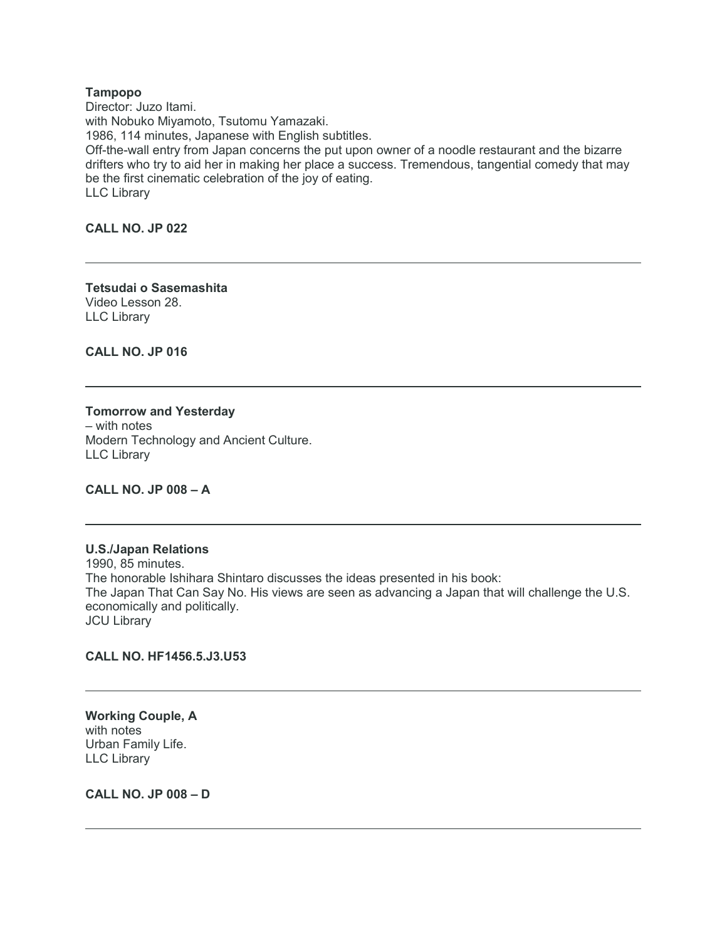#### **Tampopo**

Director: Juzo Itami. with Nobuko Miyamoto, Tsutomu Yamazaki. 1986, 114 minutes, Japanese with English subtitles. Off-the-wall entry from Japan concerns the put upon owner of a noodle restaurant and the bizarre drifters who try to aid her in making her place a success. Tremendous, tangential comedy that may be the first cinematic celebration of the joy of eating. LLC Library

**CALL NO. JP 022**

**Tetsudai o Sasemashita** Video Lesson 28. LLC Library

**CALL NO. JP 016**

**Tomorrow and Yesterday** – with notes Modern Technology and Ancient Culture. LLC Library

**CALL NO. JP 008 – A**

# **U.S./Japan Relations**

1990, 85 minutes. The honorable Ishihara Shintaro discusses the ideas presented in his book: The Japan That Can Say No. His views are seen as advancing a Japan that will challenge the U.S. economically and politically. **JCU Library** 

# **CALL NO. HF1456.5.J3.U53**

**Working Couple, A** with notes Urban Family Life. LLC Library

**CALL NO. JP 008 – D**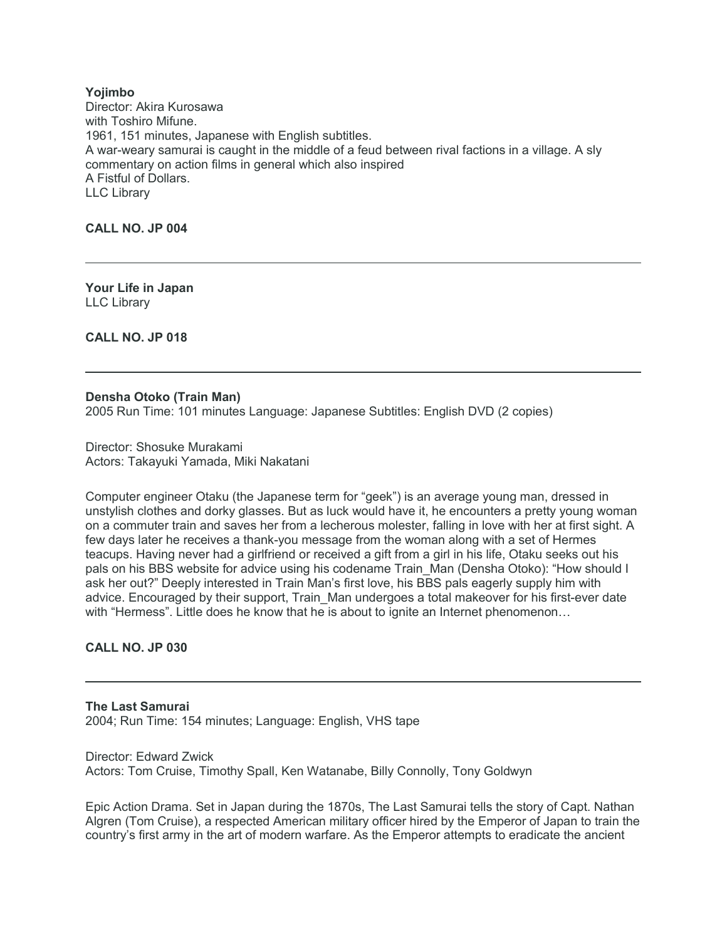**Yojimbo** Director: Akira Kurosawa with Toshiro Mifune. 1961, 151 minutes, Japanese with English subtitles. A war-weary samurai is caught in the middle of a feud between rival factions in a village. A sly commentary on action films in general which also inspired A Fistful of Dollars. LLC Library

**CALL NO. JP 004**

**Your Life in Japan** LLC Library

**CALL NO. JP 018**

#### **Densha Otoko (Train Man)**

2005 Run Time: 101 minutes Language: Japanese Subtitles: English DVD (2 copies)

Director: Shosuke Murakami Actors: Takayuki Yamada, Miki Nakatani

Computer engineer Otaku (the Japanese term for "geek") is an average young man, dressed in unstylish clothes and dorky glasses. But as luck would have it, he encounters a pretty young woman on a commuter train and saves her from a lecherous molester, falling in love with her at first sight. A few days later he receives a thank-you message from the woman along with a set of Hermes teacups. Having never had a girlfriend or received a gift from a girl in his life, Otaku seeks out his pals on his BBS website for advice using his codename Train\_Man (Densha Otoko): "How should I ask her out?" Deeply interested in Train Man's first love, his BBS pals eagerly supply him with advice. Encouraged by their support, Train\_Man undergoes a total makeover for his first-ever date with "Hermess". Little does he know that he is about to ignite an Internet phenomenon…

# **CALL NO. JP 030**

**The Last Samurai** 2004; Run Time: 154 minutes; Language: English, VHS tape

Director: Edward Zwick Actors: Tom Cruise, Timothy Spall, Ken Watanabe, Billy Connolly, Tony Goldwyn

Epic Action Drama. Set in Japan during the 1870s, The Last Samurai tells the story of Capt. Nathan Algren (Tom Cruise), a respected American military officer hired by the Emperor of Japan to train the country's first army in the art of modern warfare. As the Emperor attempts to eradicate the ancient